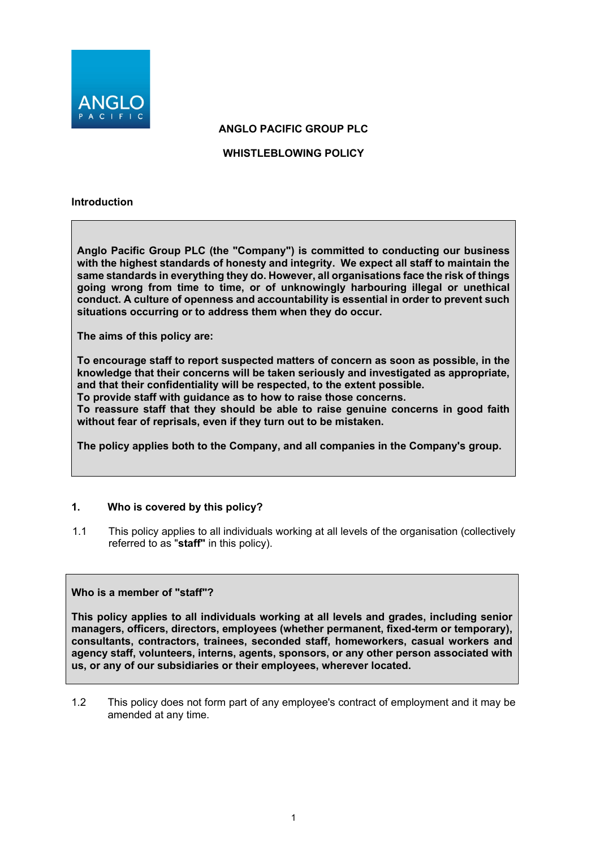

**ANGLO PACIFIC GROUP PLC**

**WHISTLEBLOWING POLICY**

#### **Introduction**

**Anglo Pacific Group PLC (the "Company") is committed to conducting our business with the highest standards of honesty and integrity. We expect all staff to maintain the same standards in everything they do. However, all organisations face the risk of things going wrong from time to time, or of unknowingly harbouring illegal or unethical conduct. A culture of openness and accountability is essential in order to prevent such situations occurring or to address them when they do occur.**

**The aims of this policy are:**

**To encourage staff to report suspected matters of concern as soon as possible, in the knowledge that their concerns will be taken seriously and investigated as appropriate, and that their confidentiality will be respected, to the extent possible.**

**To provide staff with guidance as to how to raise those concerns.**

**To reassure staff that they should be able to raise genuine concerns in good faith without fear of reprisals, even if they turn out to be mistaken.**

**The policy applies both to the Company, and all companies in the Company's group.**

#### **1. Who is covered by this policy?**

1.1 This policy applies to all individuals working at all levels of the organisation (collectively referred to as "**staff"** in this policy).

#### **Who is a member of "staff"?**

**This policy applies to all individuals working at all levels and grades, including senior managers, officers, directors, employees (whether permanent, fixed-term or temporary), consultants, contractors, trainees, seconded staff, homeworkers, casual workers and agency staff, volunteers, interns, agents, sponsors, or any other person associated with us, or any of our subsidiaries or their employees, wherever located.**

1.2 This policy does not form part of any employee's contract of employment and it may be amended at any time.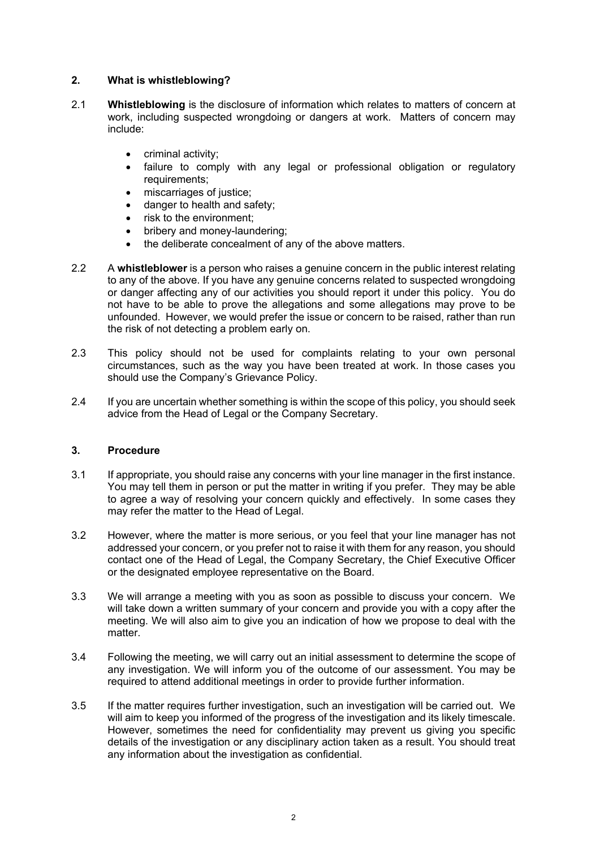# **2. What is whistleblowing?**

- 2.1 **Whistleblowing** is the disclosure of information which relates to matters of concern at work, including suspected wrongdoing or dangers at work. Matters of concern may include:
	- criminal activity;
	- failure to comply with any legal or professional obligation or regulatory requirements;
	- miscarriages of justice;
	- danger to health and safety;
	- risk to the environment:
	- bribery and money-laundering;
	- the deliberate concealment of any of the above matters.
- 2.2 A **whistleblower** is a person who raises a genuine concern in the public interest relating to any of the above. If you have any genuine concerns related to suspected wrongdoing or danger affecting any of our activities you should report it under this policy. You do not have to be able to prove the allegations and some allegations may prove to be unfounded. However, we would prefer the issue or concern to be raised, rather than run the risk of not detecting a problem early on.
- 2.3 This policy should not be used for complaints relating to your own personal circumstances, such as the way you have been treated at work. In those cases you should use the Company's Grievance Policy.
- 2.4 If you are uncertain whether something is within the scope of this policy, you should seek advice from the Head of Legal or the Company Secretary.

#### **3. Procedure**

- 3.1 If appropriate, you should raise any concerns with your line manager in the first instance. You may tell them in person or put the matter in writing if you prefer. They may be able to agree a way of resolving your concern quickly and effectively. In some cases they may refer the matter to the Head of Legal.
- 3.2 However, where the matter is more serious, or you feel that your line manager has not addressed your concern, or you prefer not to raise it with them for any reason, you should contact one of the Head of Legal, the Company Secretary, the Chief Executive Officer or the designated employee representative on the Board.
- 3.3 We will arrange a meeting with you as soon as possible to discuss your concern. We will take down a written summary of your concern and provide you with a copy after the meeting. We will also aim to give you an indication of how we propose to deal with the matter.
- 3.4 Following the meeting, we will carry out an initial assessment to determine the scope of any investigation. We will inform you of the outcome of our assessment. You may be required to attend additional meetings in order to provide further information.
- 3.5 If the matter requires further investigation, such an investigation will be carried out. We will aim to keep you informed of the progress of the investigation and its likely timescale. However, sometimes the need for confidentiality may prevent us giving you specific details of the investigation or any disciplinary action taken as a result. You should treat any information about the investigation as confidential.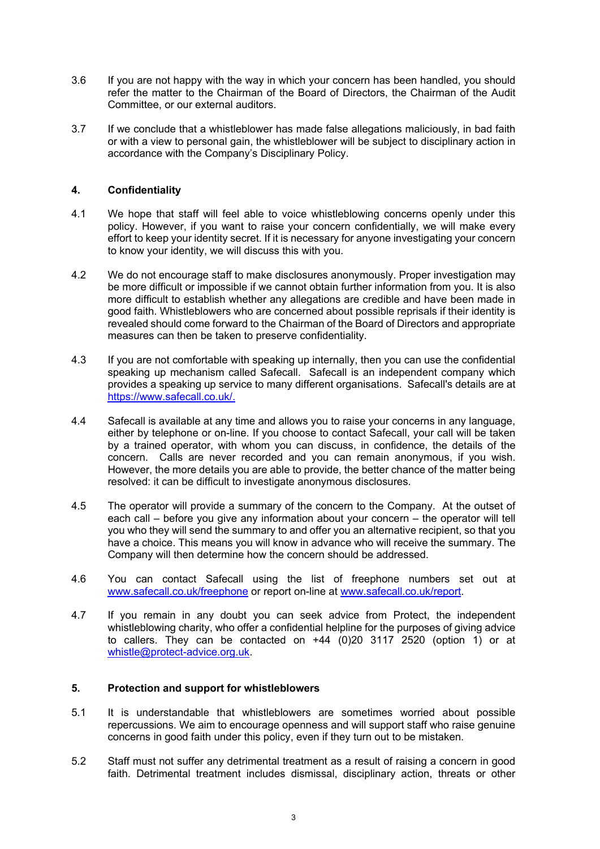- 3.6 If you are not happy with the way in which your concern has been handled, you should refer the matter to the Chairman of the Board of Directors, the Chairman of the Audit Committee, or our external auditors.
- 3.7 If we conclude that a whistleblower has made false allegations maliciously, in bad faith or with a view to personal gain, the whistleblower will be subject to disciplinary action in accordance with the Company's Disciplinary Policy.

## **4. Confidentiality**

- 4.1 We hope that staff will feel able to voice whistleblowing concerns openly under this policy. However, if you want to raise your concern confidentially, we will make every effort to keep your identity secret. If it is necessary for anyone investigating your concern to know your identity, we will discuss this with you.
- 4.2 We do not encourage staff to make disclosures anonymously. Proper investigation may be more difficult or impossible if we cannot obtain further information from you. It is also more difficult to establish whether any allegations are credible and have been made in good faith. Whistleblowers who are concerned about possible reprisals if their identity is revealed should come forward to the Chairman of the Board of Directors and appropriate measures can then be taken to preserve confidentiality.
- 4.3 If you are not comfortable with speaking up internally, then you can use the confidential speaking up mechanism called Safecall. Safecall is an independent company which provides a speaking up service to many different organisations. Safecall's details are at [https://www.safecall.co.uk/.](https://www.safecall.co.uk/)
- 4.4 Safecall is available at any time and allows you to raise your concerns in any language, either by telephone or on-line. If you choose to contact Safecall, your call will be taken by a trained operator, with whom you can discuss, in confidence, the details of the concern. Calls are never recorded and you can remain anonymous, if you wish. However, the more details you are able to provide, the better chance of the matter being resolved: it can be difficult to investigate anonymous disclosures.
- 4.5 The operator will provide a summary of the concern to the Company. At the outset of each call – before you give any information about your concern – the operator will tell you who they will send the summary to and offer you an alternative recipient, so that you have a choice. This means you will know in advance who will receive the summary. The Company will then determine how the concern should be addressed.
- 4.6 You can contact Safecall using the list of freephone numbers set out at [www.safecall.co.uk/freephone](http://www.safecall.co.uk/freephone) or report on-line at [www.safecall.co.uk/report.](http://www.safecall.co.uk/report)
- 4.7 If you remain in any doubt you can seek advice from Protect, the independent whistleblowing charity, who offer a confidential helpline for the purposes of giving advice to callers. They can be contacted on  $+44$  (0)20 3117 2520 (option 1) or at [whistle@protect-advice.org.uk.](mailto:whistle@protect-advice.org.uk)

#### **5. Protection and support for whistleblowers**

- 5.1 It is understandable that whistleblowers are sometimes worried about possible repercussions. We aim to encourage openness and will support staff who raise genuine concerns in good faith under this policy, even if they turn out to be mistaken.
- 5.2 Staff must not suffer any detrimental treatment as a result of raising a concern in good faith. Detrimental treatment includes dismissal, disciplinary action, threats or other